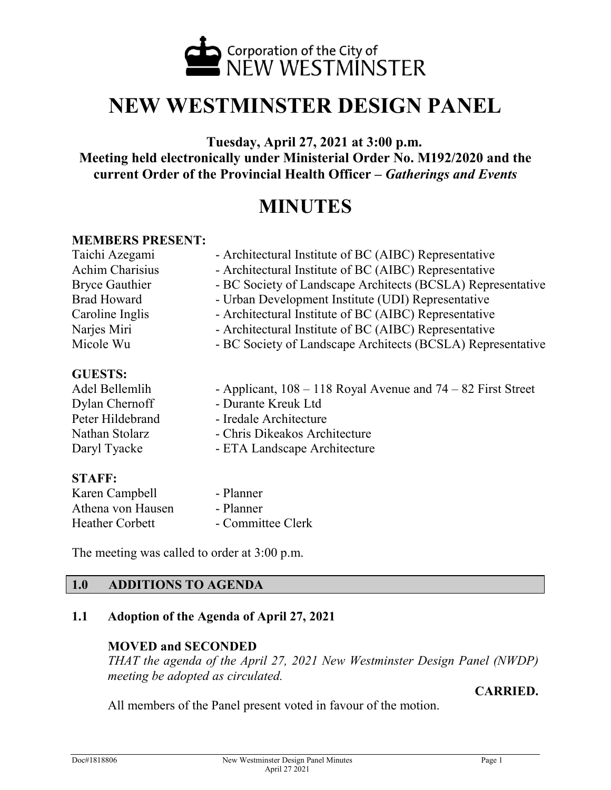

# **NEW WESTMINSTER DESIGN PANEL**

**Tuesday, April 27, 2021 at 3:00 p.m. Meeting held electronically under Ministerial Order No. M192/2020 and the current Order of the Provincial Health Officer –** *Gatherings and Events*

## **MINUTES**

#### **MEMBERS PRESENT:**

| Taichi Azegami     | - Architectural Institute of BC (AIBC) Representative       |  |
|--------------------|-------------------------------------------------------------|--|
| Achim Charisius    | - Architectural Institute of BC (AIBC) Representative       |  |
| Bryce Gauthier     | - BC Society of Landscape Architects (BCSLA) Representative |  |
| <b>Brad Howard</b> | - Urban Development Institute (UDI) Representative          |  |
| Caroline Inglis    | - Architectural Institute of BC (AIBC) Representative       |  |
| Narjes Miri        | - Architectural Institute of BC (AIBC) Representative       |  |
| Micole Wu          | - BC Society of Landscape Architects (BCSLA) Representative |  |
|                    |                                                             |  |

#### **GUESTS:**

| Adel Bellemlih   | - Applicant, $108 - 118$ Royal Avenue and $74 - 82$ First Street |
|------------------|------------------------------------------------------------------|
| Dylan Chernoff   | - Durante Kreuk Ltd                                              |
| Peter Hildebrand | - Iredale Architecture                                           |
| Nathan Stolarz   | - Chris Dikeakos Architecture                                    |
| Daryl Tyacke     | - ETA Landscape Architecture                                     |

#### **STAFF:**

| Karen Campbell         | - Planner         |
|------------------------|-------------------|
| Athena von Hausen      | - Planner         |
| <b>Heather Corbett</b> | - Committee Clerk |

The meeting was called to order at 3:00 p.m.

#### **1.0 ADDITIONS TO AGENDA**

#### **1.1 Adoption of the Agenda of April 27, 2021**

#### **MOVED and SECONDED**

*THAT the agenda of the April 27, 2021 New Westminster Design Panel (NWDP) meeting be adopted as circulated.*

#### **CARRIED.**

All members of the Panel present voted in favour of the motion.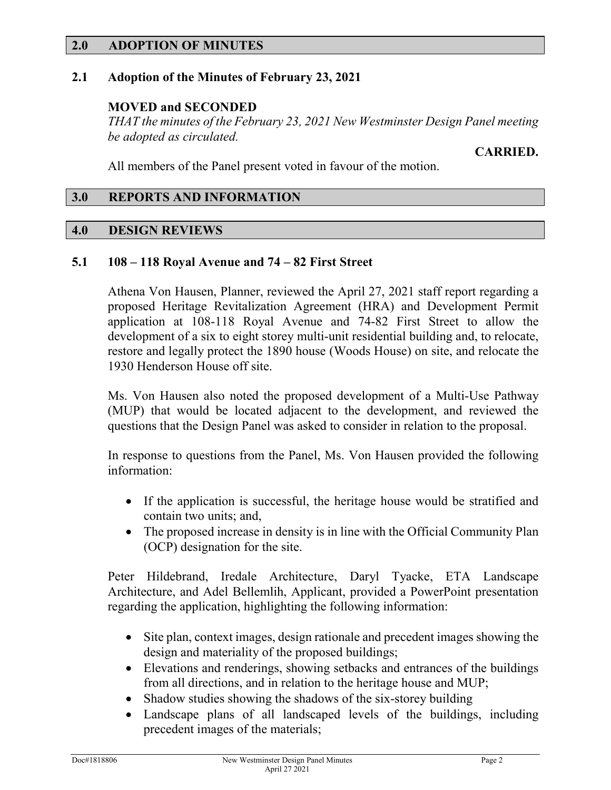#### **2.0 ADOPTION OF MINUTES**

#### **2.1 Adoption of the Minutes of February 23, 2021**

#### **MOVED and SECONDED**

*THAT the minutes of the February 23, 2021 New Westminster Design Panel meeting be adopted as circulated.*

#### **CARRIED.**

All members of the Panel present voted in favour of the motion.

#### **3.0 REPORTS AND INFORMATION**

#### **4.0 DESIGN REVIEWS**

#### **5.1 108 – 118 Royal Avenue and 74 – 82 First Street**

Athena Von Hausen, Planner, reviewed the April 27, 2021 staff report regarding a proposed Heritage Revitalization Agreement (HRA) and Development Permit application at 108-118 Royal Avenue and 74-82 First Street to allow the development of a six to eight storey multi-unit residential building and, to relocate, restore and legally protect the 1890 house (Woods House) on site, and relocate the 1930 Henderson House off site.

Ms. Von Hausen also noted the proposed development of a Multi-Use Pathway (MUP) that would be located adjacent to the development, and reviewed the questions that the Design Panel was asked to consider in relation to the proposal.

In response to questions from the Panel, Ms. Von Hausen provided the following information:

- If the application is successful, the heritage house would be stratified and contain two units; and,
- The proposed increase in density is in line with the Official Community Plan (OCP) designation for the site.

Peter Hildebrand, Iredale Architecture, Daryl Tyacke, ETA Landscape Architecture, and Adel Bellemlih, Applicant, provided a PowerPoint presentation regarding the application, highlighting the following information:

- Site plan, context images, design rationale and precedent images showing the design and materiality of the proposed buildings;
- Elevations and renderings, showing setbacks and entrances of the buildings from all directions, and in relation to the heritage house and MUP;
- Shadow studies showing the shadows of the six-storey building
- Landscape plans of all landscaped levels of the buildings, including precedent images of the materials;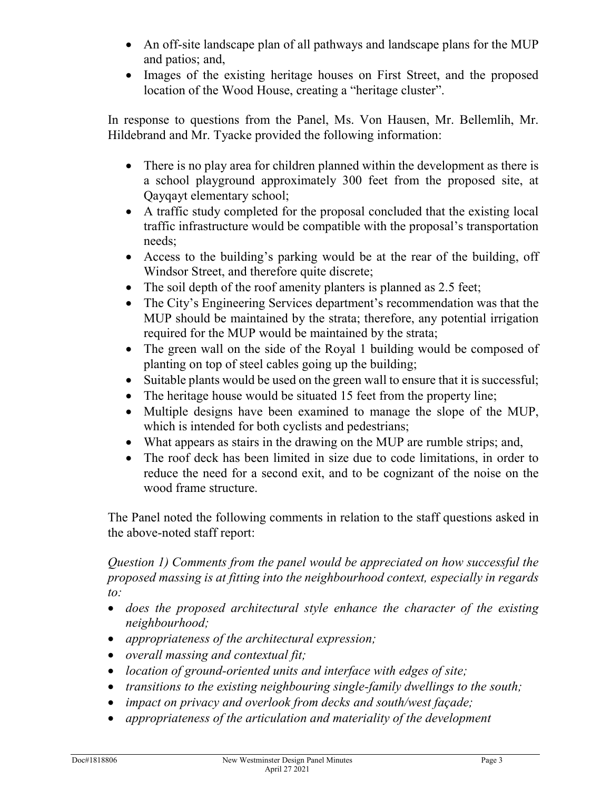- An off-site landscape plan of all pathways and landscape plans for the MUP and patios; and,
- Images of the existing heritage houses on First Street, and the proposed location of the Wood House, creating a "heritage cluster".

In response to questions from the Panel, Ms. Von Hausen, Mr. Bellemlih, Mr. Hildebrand and Mr. Tyacke provided the following information:

- There is no play area for children planned within the development as there is a school playground approximately 300 feet from the proposed site, at Qayqayt elementary school;
- A traffic study completed for the proposal concluded that the existing local traffic infrastructure would be compatible with the proposal's transportation needs;
- Access to the building's parking would be at the rear of the building, off Windsor Street, and therefore quite discrete;
- The soil depth of the roof amenity planters is planned as 2.5 feet;
- The City's Engineering Services department's recommendation was that the MUP should be maintained by the strata; therefore, any potential irrigation required for the MUP would be maintained by the strata;
- The green wall on the side of the Royal 1 building would be composed of planting on top of steel cables going up the building;
- Suitable plants would be used on the green wall to ensure that it is successful;
- The heritage house would be situated 15 feet from the property line;
- Multiple designs have been examined to manage the slope of the MUP, which is intended for both cyclists and pedestrians;
- What appears as stairs in the drawing on the MUP are rumble strips; and,
- The roof deck has been limited in size due to code limitations, in order to reduce the need for a second exit, and to be cognizant of the noise on the wood frame structure.

The Panel noted the following comments in relation to the staff questions asked in the above-noted staff report:

## *Question 1) Comments from the panel would be appreciated on how successful the proposed massing is at fitting into the neighbourhood context, especially in regards to:*

- *does the proposed architectural style enhance the character of the existing neighbourhood;*
- *appropriateness of the architectural expression;*
- *overall massing and contextual fit;*
- *location of ground-oriented units and interface with edges of site;*
- *transitions to the existing neighbouring single-family dwellings to the south;*
- *impact on privacy and overlook from decks and south/west façade;*
- *appropriateness of the articulation and materiality of the development*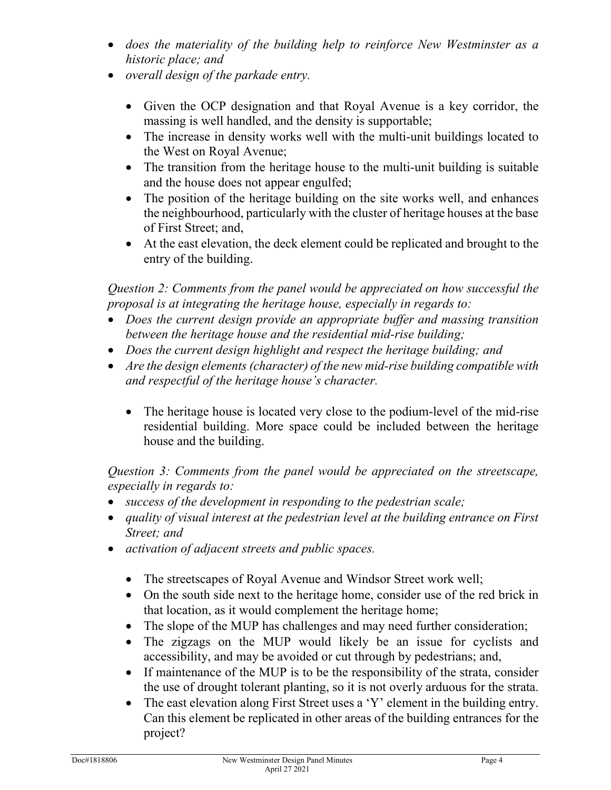- *does the materiality of the building help to reinforce New Westminster as a historic place; and*
- *overall design of the parkade entry.*
	- Given the OCP designation and that Royal Avenue is a key corridor, the massing is well handled, and the density is supportable;
	- The increase in density works well with the multi-unit buildings located to the West on Royal Avenue;
	- The transition from the heritage house to the multi-unit building is suitable and the house does not appear engulfed;
	- The position of the heritage building on the site works well, and enhances the neighbourhood, particularly with the cluster of heritage houses at the base of First Street; and,
	- At the east elevation, the deck element could be replicated and brought to the entry of the building.

*Question 2: Comments from the panel would be appreciated on how successful the proposal is at integrating the heritage house, especially in regards to:*

- *Does the current design provide an appropriate buffer and massing transition between the heritage house and the residential mid-rise building;*
- *Does the current design highlight and respect the heritage building; and*
- *Are the design elements (character) of the new mid-rise building compatible with and respectful of the heritage house's character.*
	- The heritage house is located very close to the podium-level of the mid-rise residential building. More space could be included between the heritage house and the building.

*Question 3: Comments from the panel would be appreciated on the streetscape, especially in regards to:*

- *success of the development in responding to the pedestrian scale;*
- *quality of visual interest at the pedestrian level at the building entrance on First Street; and*
- *activation of adjacent streets and public spaces.*
	- The streetscapes of Royal Avenue and Windsor Street work well;
	- On the south side next to the heritage home, consider use of the red brick in that location, as it would complement the heritage home;
	- The slope of the MUP has challenges and may need further consideration;
	- The zigzags on the MUP would likely be an issue for cyclists and accessibility, and may be avoided or cut through by pedestrians; and,
	- If maintenance of the MUP is to be the responsibility of the strata, consider the use of drought tolerant planting, so it is not overly arduous for the strata.
	- The east elevation along First Street uses a 'Y' element in the building entry. Can this element be replicated in other areas of the building entrances for the project?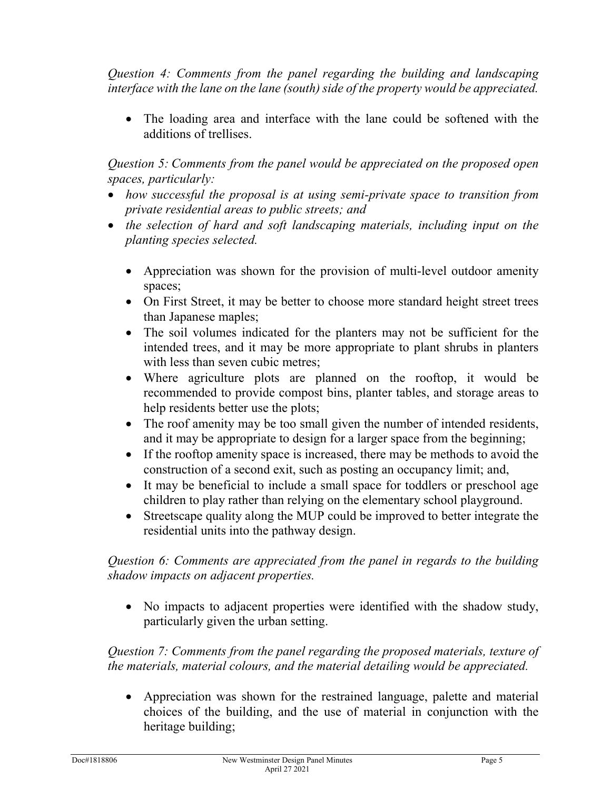*Question 4: Comments from the panel regarding the building and landscaping interface with the lane on the lane (south) side of the property would be appreciated.*

• The loading area and interface with the lane could be softened with the additions of trellises.

*Question 5: Comments from the panel would be appreciated on the proposed open spaces, particularly:*

- *how successful the proposal is at using semi-private space to transition from private residential areas to public streets; and*
- *the selection of hard and soft landscaping materials, including input on the planting species selected.*
	- Appreciation was shown for the provision of multi-level outdoor amenity spaces;
	- On First Street, it may be better to choose more standard height street trees than Japanese maples;
	- The soil volumes indicated for the planters may not be sufficient for the intended trees, and it may be more appropriate to plant shrubs in planters with less than seven cubic metres;
	- Where agriculture plots are planned on the rooftop, it would be recommended to provide compost bins, planter tables, and storage areas to help residents better use the plots;
	- The roof amenity may be too small given the number of intended residents, and it may be appropriate to design for a larger space from the beginning;
	- If the rooftop amenity space is increased, there may be methods to avoid the construction of a second exit, such as posting an occupancy limit; and,
	- It may be beneficial to include a small space for toddlers or preschool age children to play rather than relying on the elementary school playground.
	- Streetscape quality along the MUP could be improved to better integrate the residential units into the pathway design.

## *Question 6: Comments are appreciated from the panel in regards to the building shadow impacts on adjacent properties.*

• No impacts to adjacent properties were identified with the shadow study, particularly given the urban setting.

*Question 7: Comments from the panel regarding the proposed materials, texture of the materials, material colours, and the material detailing would be appreciated.*

• Appreciation was shown for the restrained language, palette and material choices of the building, and the use of material in conjunction with the heritage building;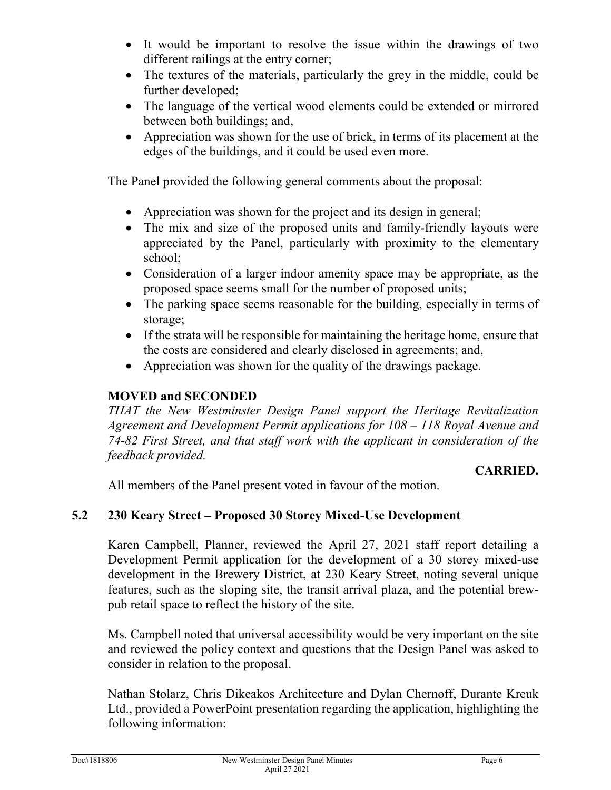- It would be important to resolve the issue within the drawings of two different railings at the entry corner;
- The textures of the materials, particularly the grey in the middle, could be further developed;
- The language of the vertical wood elements could be extended or mirrored between both buildings; and,
- Appreciation was shown for the use of brick, in terms of its placement at the edges of the buildings, and it could be used even more.

The Panel provided the following general comments about the proposal:

- Appreciation was shown for the project and its design in general;
- The mix and size of the proposed units and family-friendly layouts were appreciated by the Panel, particularly with proximity to the elementary school;
- Consideration of a larger indoor amenity space may be appropriate, as the proposed space seems small for the number of proposed units;
- The parking space seems reasonable for the building, especially in terms of storage;
- If the strata will be responsible for maintaining the heritage home, ensure that the costs are considered and clearly disclosed in agreements; and,
- Appreciation was shown for the quality of the drawings package.

## **MOVED and SECONDED**

*THAT the New Westminster Design Panel support the Heritage Revitalization Agreement and Development Permit applications for 108 – 118 Royal Avenue and 74-82 First Street, and that staff work with the applicant in consideration of the feedback provided.*

## **CARRIED.**

All members of the Panel present voted in favour of the motion.

## **5.2 230 Keary Street – Proposed 30 Storey Mixed-Use Development**

Karen Campbell, Planner, reviewed the April 27, 2021 staff report detailing a Development Permit application for the development of a 30 storey mixed-use development in the Brewery District, at 230 Keary Street, noting several unique features, such as the sloping site, the transit arrival plaza, and the potential brewpub retail space to reflect the history of the site.

Ms. Campbell noted that universal accessibility would be very important on the site and reviewed the policy context and questions that the Design Panel was asked to consider in relation to the proposal.

Nathan Stolarz, Chris Dikeakos Architecture and Dylan Chernoff, Durante Kreuk Ltd., provided a PowerPoint presentation regarding the application, highlighting the following information: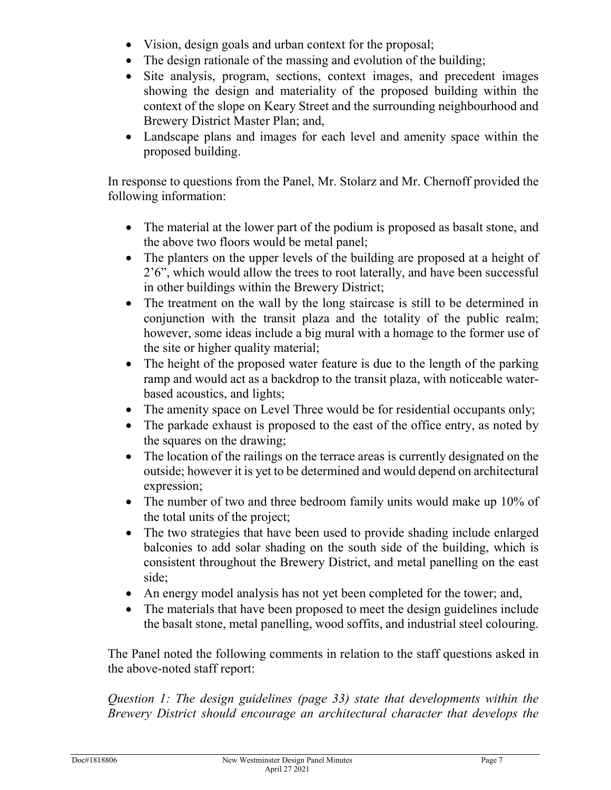- Vision, design goals and urban context for the proposal;
- The design rationale of the massing and evolution of the building;
- Site analysis, program, sections, context images, and precedent images showing the design and materiality of the proposed building within the context of the slope on Keary Street and the surrounding neighbourhood and Brewery District Master Plan; and,
- Landscape plans and images for each level and amenity space within the proposed building.

In response to questions from the Panel, Mr. Stolarz and Mr. Chernoff provided the following information:

- The material at the lower part of the podium is proposed as basalt stone, and the above two floors would be metal panel;
- The planters on the upper levels of the building are proposed at a height of 2'6", which would allow the trees to root laterally, and have been successful in other buildings within the Brewery District;
- The treatment on the wall by the long staircase is still to be determined in conjunction with the transit plaza and the totality of the public realm; however, some ideas include a big mural with a homage to the former use of the site or higher quality material;
- The height of the proposed water feature is due to the length of the parking ramp and would act as a backdrop to the transit plaza, with noticeable waterbased acoustics, and lights;
- The amenity space on Level Three would be for residential occupants only;
- The parkade exhaust is proposed to the east of the office entry, as noted by the squares on the drawing;
- The location of the railings on the terrace areas is currently designated on the outside; however it is yet to be determined and would depend on architectural expression;
- The number of two and three bedroom family units would make up 10% of the total units of the project;
- The two strategies that have been used to provide shading include enlarged balconies to add solar shading on the south side of the building, which is consistent throughout the Brewery District, and metal panelling on the east side;
- An energy model analysis has not yet been completed for the tower; and,
- The materials that have been proposed to meet the design guidelines include the basalt stone, metal panelling, wood soffits, and industrial steel colouring.

The Panel noted the following comments in relation to the staff questions asked in the above-noted staff report:

*Question 1: The design guidelines (page 33) state that developments within the Brewery District should encourage an architectural character that develops the*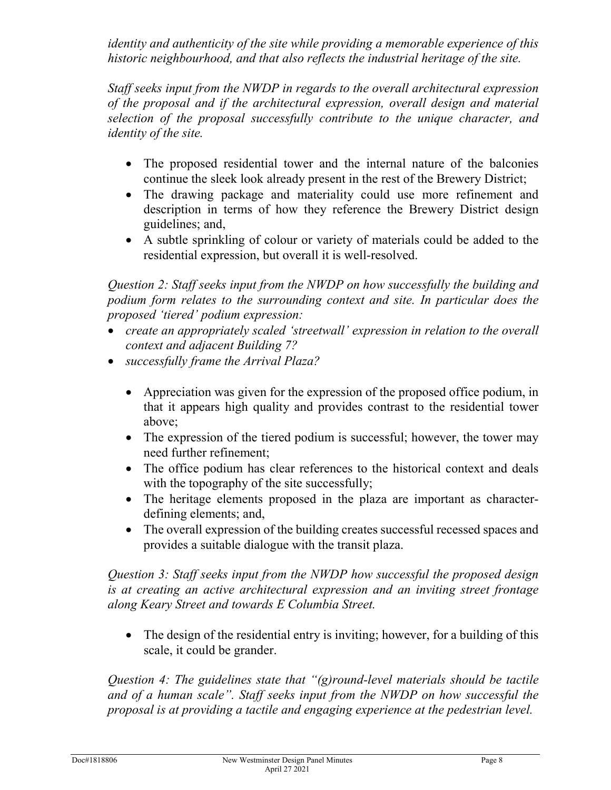*identity and authenticity of the site while providing a memorable experience of this*  historic neighbourhood, and that also reflects the industrial heritage of the site.

*Staff seeks input from the NWDP in regards to the overall architectural expression of the proposal and if the architectural expression, overall design and material selection of the proposal successfully contribute to the unique character, and identity of the site.* 

- The proposed residential tower and the internal nature of the balconies continue the sleek look already present in the rest of the Brewery District;
- The drawing package and materiality could use more refinement and description in terms of how they reference the Brewery District design guidelines; and,
- A subtle sprinkling of colour or variety of materials could be added to the residential expression, but overall it is well-resolved.

*Question 2: Staff seeks input from the NWDP on how successfully the building and podium form relates to the surrounding context and site. In particular does the proposed 'tiered' podium expression:* 

- *create an appropriately scaled 'streetwall' expression in relation to the overall context and adjacent Building 7?*
- *successfully frame the Arrival Plaza?* 
	- Appreciation was given for the expression of the proposed office podium, in that it appears high quality and provides contrast to the residential tower above;
	- The expression of the tiered podium is successful; however, the tower may need further refinement;
	- The office podium has clear references to the historical context and deals with the topography of the site successfully;
	- The heritage elements proposed in the plaza are important as characterdefining elements; and,
	- The overall expression of the building creates successful recessed spaces and provides a suitable dialogue with the transit plaza.

*Question 3: Staff seeks input from the NWDP how successful the proposed design is at creating an active architectural expression and an inviting street frontage along Keary Street and towards E Columbia Street.* 

• The design of the residential entry is inviting; however, for a building of this scale, it could be grander.

*Question 4: The guidelines state that "(g)round-level materials should be tactile and of a human scale". Staff seeks input from the NWDP on how successful the proposal is at providing a tactile and engaging experience at the pedestrian level.*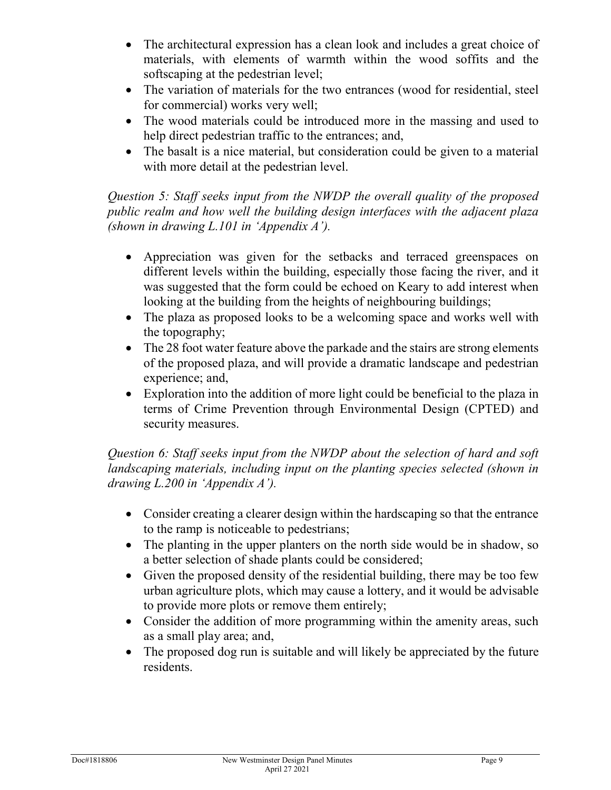- The architectural expression has a clean look and includes a great choice of materials, with elements of warmth within the wood soffits and the softscaping at the pedestrian level;
- The variation of materials for the two entrances (wood for residential, steel for commercial) works very well;
- The wood materials could be introduced more in the massing and used to help direct pedestrian traffic to the entrances; and,
- The basalt is a nice material, but consideration could be given to a material with more detail at the pedestrian level.

*Question 5: Staff seeks input from the NWDP the overall quality of the proposed public realm and how well the building design interfaces with the adjacent plaza (shown in drawing L.101 in 'Appendix A').* 

- Appreciation was given for the setbacks and terraced greenspaces on different levels within the building, especially those facing the river, and it was suggested that the form could be echoed on Keary to add interest when looking at the building from the heights of neighbouring buildings;
- The plaza as proposed looks to be a welcoming space and works well with the topography;
- The 28 foot water feature above the parkade and the stairs are strong elements of the proposed plaza, and will provide a dramatic landscape and pedestrian experience; and,
- Exploration into the addition of more light could be beneficial to the plaza in terms of Crime Prevention through Environmental Design (CPTED) and security measures.

*Question 6: Staff seeks input from the NWDP about the selection of hard and soft*  landscaping materials, including input on the planting species selected (shown in *drawing L.200 in 'Appendix A').*

- Consider creating a clearer design within the hardscaping so that the entrance to the ramp is noticeable to pedestrians;
- The planting in the upper planters on the north side would be in shadow, so a better selection of shade plants could be considered;
- Given the proposed density of the residential building, there may be too few urban agriculture plots, which may cause a lottery, and it would be advisable to provide more plots or remove them entirely;
- Consider the addition of more programming within the amenity areas, such as a small play area; and,
- The proposed dog run is suitable and will likely be appreciated by the future residents.